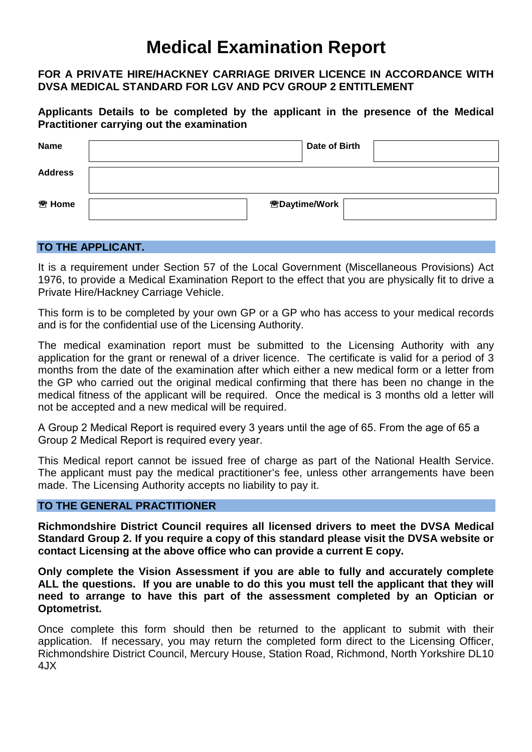# **Medical Examination Report**

## **FOR A PRIVATE HIRE/HACKNEY CARRIAGE DRIVER LICENCE IN ACCORDANCE WITH DVSA MEDICAL STANDARD FOR LGV AND PCV GROUP 2 ENTITLEMENT**

**Applicants Details to be completed by the applicant in the presence of the Medical Practitioner carrying out the examination**

| <b>Name</b>    | Date of Birth        |
|----------------|----------------------|
| <b>Address</b> |                      |
| <b>图 Home</b>  | <b>图Daytime/Work</b> |

### **TO THE APPLICANT.**

It is a requirement under Section 57 of the Local Government (Miscellaneous Provisions) Act 1976, to provide a Medical Examination Report to the effect that you are physically fit to drive a Private Hire/Hackney Carriage Vehicle.

This form is to be completed by your own GP or a GP who has access to your medical records and is for the confidential use of the Licensing Authority.

The medical examination report must be submitted to the Licensing Authority with any application for the grant or renewal of a driver licence. The certificate is valid for a period of 3 months from the date of the examination after which either a new medical form or a letter from the GP who carried out the original medical confirming that there has been no change in the medical fitness of the applicant will be required. Once the medical is 3 months old a letter will not be accepted and a new medical will be required.

A Group 2 Medical Report is required every 3 years until the age of 65. From the age of 65 a Group 2 Medical Report is required every year.

This Medical report cannot be issued free of charge as part of the National Health Service. The applicant must pay the medical practitioner's fee, unless other arrangements have been made. The Licensing Authority accepts no liability to pay it.

#### **TO THE GENERAL PRACTITIONER**

**Richmondshire District Council requires all licensed drivers to meet the DVSA Medical Standard Group 2. If you require a copy of this standard please visit the DVSA website or contact Licensing at the above office who can provide a current E copy.**

**Only complete the Vision Assessment if you are able to fully and accurately complete ALL the questions. If you are unable to do this you must tell the applicant that they will need to arrange to have this part of the assessment completed by an Optician or Optometrist.**

Once complete this form should then be returned to the applicant to submit with their application. If necessary, you may return the completed form direct to the Licensing Officer, Richmondshire District Council, Mercury House, Station Road, Richmond, North Yorkshire DL10 4JX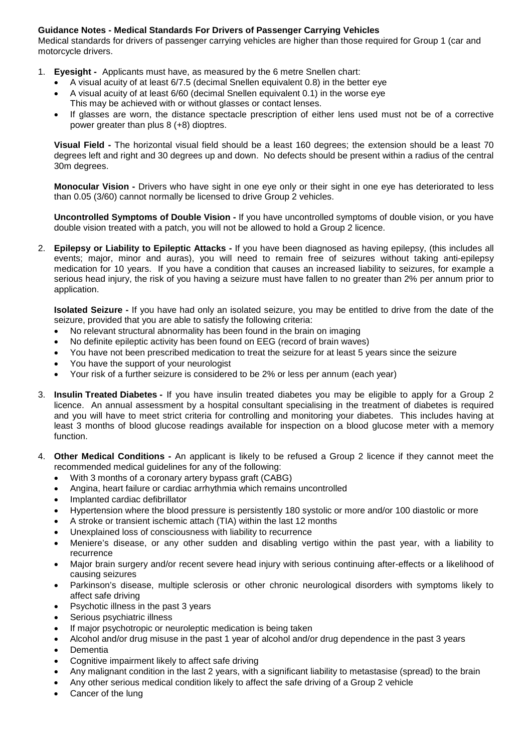#### **Guidance Notes - Medical Standards For Drivers of Passenger Carrying Vehicles**

Medical standards for drivers of passenger carrying vehicles are higher than those required for Group 1 (car and motorcycle drivers.

- 1. **Eyesight** Applicants must have, as measured by the 6 metre Snellen chart:
	- A visual acuity of at least 6/7.5 (decimal Snellen equivalent 0.8) in the better eye
	- A visual acuity of at least 6/60 (decimal Snellen equivalent 0.1) in the worse eye This may be achieved with or without glasses or contact lenses.
	- If glasses are worn, the distance spectacle prescription of either lens used must not be of a corrective power greater than plus 8 (+8) dioptres.

**Visual Field -** The horizontal visual field should be a least 160 degrees; the extension should be a least 70 degrees left and right and 30 degrees up and down. No defects should be present within a radius of the central 30m degrees.

**Monocular Vision -** Drivers who have sight in one eye only or their sight in one eye has deteriorated to less than 0.05 (3/60) cannot normally be licensed to drive Group 2 vehicles.

**Uncontrolled Symptoms of Double Vision -** If you have uncontrolled symptoms of double vision, or you have double vision treated with a patch, you will not be allowed to hold a Group 2 licence.

2. **Epilepsy or Liability to Epileptic Attacks -** If you have been diagnosed as having epilepsy, (this includes all events; major, minor and auras), you will need to remain free of seizures without taking anti-epilepsy medication for 10 years. If you have a condition that causes an increased liability to seizures, for example a serious head injury, the risk of you having a seizure must have fallen to no greater than 2% per annum prior to application.

**Isolated Seizure -** If you have had only an isolated seizure, you may be entitled to drive from the date of the seizure, provided that you are able to satisfy the following criteria:

- No relevant structural abnormality has been found in the brain on imaging
- No definite epileptic activity has been found on EEG (record of brain waves)
- You have not been prescribed medication to treat the seizure for at least 5 years since the seizure
- You have the support of your neurologist
- Your risk of a further seizure is considered to be 2% or less per annum (each year)
- 3. **Insulin Treated Diabetes -** If you have insulin treated diabetes you may be eligible to apply for a Group 2 licence. An annual assessment by a hospital consultant specialising in the treatment of diabetes is required and you will have to meet strict criteria for controlling and monitoring your diabetes. This includes having at least 3 months of blood glucose readings available for inspection on a blood glucose meter with a memory function.
- 4. **Other Medical Conditions** An applicant is likely to be refused a Group 2 licence if they cannot meet the recommended medical guidelines for any of the following:
	- With 3 months of a coronary artery bypass graft (CABG)
	- Angina, heart failure or cardiac arrhythmia which remains uncontrolled
	- Implanted cardiac defibrillator
	- Hypertension where the blood pressure is persistently 180 systolic or more and/or 100 diastolic or more
	- A stroke or transient ischemic attach (TIA) within the last 12 months
	- Unexplained loss of consciousness with liability to recurrence
	- Meniere's disease, or any other sudden and disabling vertigo within the past year, with a liability to recurrence
	- Major brain surgery and/or recent severe head injury with serious continuing after-effects or a likelihood of causing seizures
	- Parkinson's disease, multiple sclerosis or other chronic neurological disorders with symptoms likely to affect safe driving
	- Psychotic illness in the past 3 years
	- Serious psychiatric illness
	- If major psychotropic or neuroleptic medication is being taken
	- Alcohol and/or drug misuse in the past 1 year of alcohol and/or drug dependence in the past 3 years
	- **Dementia**
	- Cognitive impairment likely to affect safe driving
	- Any malignant condition in the last 2 years, with a significant liability to metastasise (spread) to the brain
	- Any other serious medical condition likely to affect the safe driving of a Group 2 vehicle
	- Cancer of the lung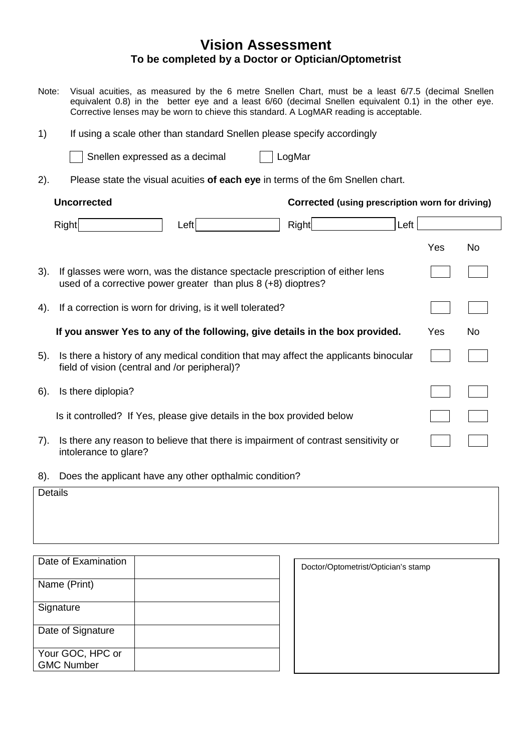# **Vision Assessment To be completed by a Doctor or Optician/Optometrist**

- Note: Visual acuities, as measured by the 6 metre Snellen Chart, must be a least 6/7.5 (decimal Snellen equivalent 0.8) in the better eye and a least 6/60 (decimal Snellen equivalent 0.1) in the other eye. Corrective lenses may be worn to chieve this standard. A LogMAR reading is acceptable.
- 1) If using a scale other than standard Snellen please specify accordingly

|  | Snellen expressed as a decimal |  | LogMar |
|--|--------------------------------|--|--------|
|--|--------------------------------|--|--------|

2). Please state the visual acuities **of each eye** in terms of the 6m Snellen chart.

|         | <b>Uncorrected</b>                                                                                                                              | Corrected (using prescription worn for driving) |      |     |           |
|---------|-------------------------------------------------------------------------------------------------------------------------------------------------|-------------------------------------------------|------|-----|-----------|
|         | Right<br>Left                                                                                                                                   | Right                                           | Left |     |           |
|         |                                                                                                                                                 |                                                 |      | Yes | No.       |
| 3).     | If glasses were worn, was the distance spectacle prescription of either lens<br>used of a corrective power greater than plus $8 (+8)$ dioptres? |                                                 |      |     |           |
| 4).     | If a correction is worn for driving, is it well tolerated?                                                                                      |                                                 |      |     |           |
|         | If you answer Yes to any of the following, give details in the box provided.                                                                    |                                                 |      | Yes | <b>No</b> |
| $(5)$ . | Is there a history of any medical condition that may affect the applicants binocular<br>field of vision (central and /or peripheral)?           |                                                 |      |     |           |
| $6$ ).  | Is there diplopia?                                                                                                                              |                                                 |      |     |           |
|         | Is it controlled? If Yes, please give details in the box provided below                                                                         |                                                 |      |     |           |
| 7).     | Is there any reason to believe that there is impairment of contrast sensitivity or<br>intolerance to glare?                                     |                                                 |      |     |           |

8). Does the applicant have any other opthalmic condition?

**Details** 

| Date of Examination                   |  |
|---------------------------------------|--|
| Name (Print)                          |  |
| Signature                             |  |
| Date of Signature                     |  |
| Your GOC, HPC or<br><b>GMC Number</b> |  |
|                                       |  |

| Doctor/Optometrist/Optician's stamp |
|-------------------------------------|
|                                     |
|                                     |
|                                     |
|                                     |
|                                     |
|                                     |
|                                     |
|                                     |
|                                     |
|                                     |
|                                     |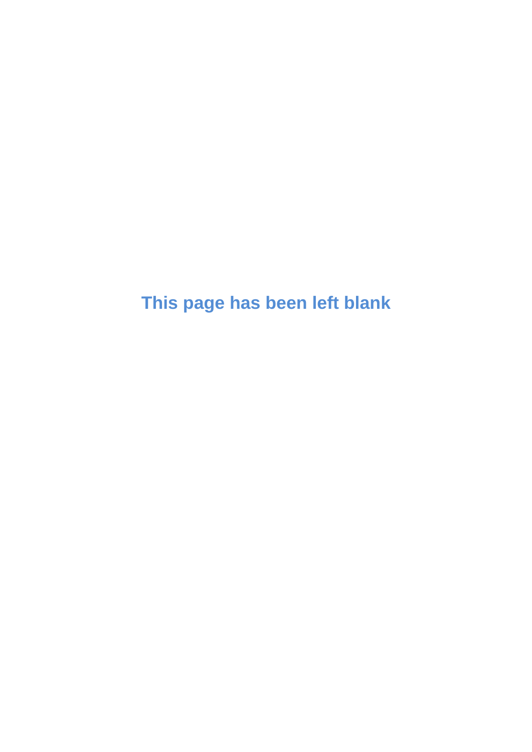**This page has been left blank**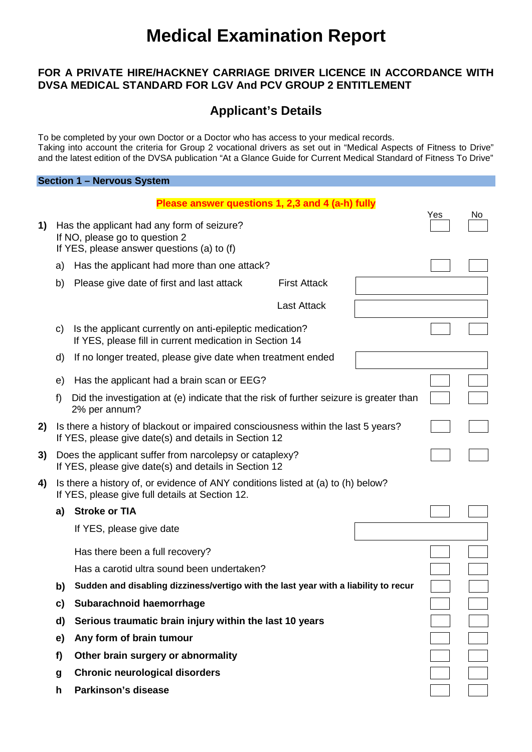# **Medical Examination Report**

# **FOR A PRIVATE HIRE/HACKNEY CARRIAGE DRIVER LICENCE IN ACCORDANCE WITH DVSA MEDICAL STANDARD FOR LGV And PCV GROUP 2 ENTITLEMENT**

# **Applicant's Details**

To be completed by your own Doctor or a Doctor who has access to your medical records. Taking into account the criteria for Group 2 vocational drivers as set out in "Medical Aspects of Fitness to Drive" and the latest edition of the DVSA publication "At a Glance Guide for Current Medical Standard of Fitness To Drive"

|    |    | <b>Section 1 - Nervous System</b>                                                                                                          |                     |     |    |
|----|----|--------------------------------------------------------------------------------------------------------------------------------------------|---------------------|-----|----|
|    |    | Please answer questions 1, 2,3 and 4 (a-h) fully                                                                                           |                     |     |    |
| 1) |    | Has the applicant had any form of seizure?<br>If NO, please go to question 2<br>If YES, please answer questions (a) to (f)                 |                     | Yes | Νo |
|    | a) | Has the applicant had more than one attack?                                                                                                |                     |     |    |
|    | b) | Please give date of first and last attack                                                                                                  | <b>First Attack</b> |     |    |
|    |    |                                                                                                                                            | <b>Last Attack</b>  |     |    |
|    | C) | Is the applicant currently on anti-epileptic medication?<br>If YES, please fill in current medication in Section 14                        |                     |     |    |
|    | d) | If no longer treated, please give date when treatment ended                                                                                |                     |     |    |
|    | e) | Has the applicant had a brain scan or EEG?                                                                                                 |                     |     |    |
|    | f) | Did the investigation at (e) indicate that the risk of further seizure is greater than<br>2% per annum?                                    |                     |     |    |
| 2) |    | Is there a history of blackout or impaired consciousness within the last 5 years?<br>If YES, please give date(s) and details in Section 12 |                     |     |    |
| 3) |    | Does the applicant suffer from narcolepsy or cataplexy?<br>If YES, please give date(s) and details in Section 12                           |                     |     |    |
| 4) |    | Is there a history of, or evidence of ANY conditions listed at (a) to (h) below?<br>If YES, please give full details at Section 12.        |                     |     |    |
|    | a) | <b>Stroke or TIA</b>                                                                                                                       |                     |     |    |
|    |    | If YES, please give date                                                                                                                   |                     |     |    |
|    |    | Has there been a full recovery?                                                                                                            |                     |     |    |
|    |    | Has a carotid ultra sound been undertaken?                                                                                                 |                     |     |    |
|    | b) | Sudden and disabling dizziness/vertigo with the last year with a liability to recur                                                        |                     |     |    |
|    | C) | Subarachnoid haemorrhage                                                                                                                   |                     |     |    |
|    | d) | Serious traumatic brain injury within the last 10 years                                                                                    |                     |     |    |
|    | e) | Any form of brain tumour                                                                                                                   |                     |     |    |
|    | f) | Other brain surgery or abnormality                                                                                                         |                     |     |    |
|    | g  | <b>Chronic neurological disorders</b>                                                                                                      |                     |     |    |
|    | h  | <b>Parkinson's disease</b>                                                                                                                 |                     |     |    |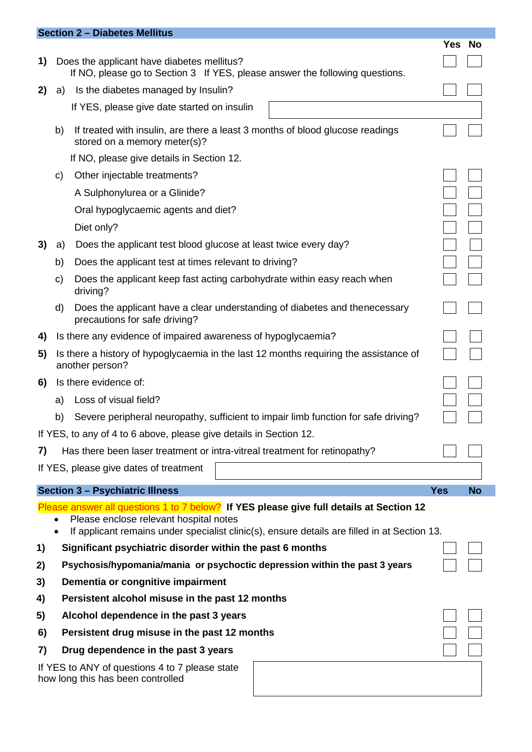|    |    | <b>Section 2 - Diabetes Mellitus</b>                                                                                                                                                                                              |                         |
|----|----|-----------------------------------------------------------------------------------------------------------------------------------------------------------------------------------------------------------------------------------|-------------------------|
|    |    |                                                                                                                                                                                                                                   | Yes<br><b>No</b>        |
| 1) |    | Does the applicant have diabetes mellitus?<br>If NO, please go to Section 3 If YES, please answer the following questions.                                                                                                        |                         |
| 2) | a) | Is the diabetes managed by Insulin?                                                                                                                                                                                               |                         |
|    |    | If YES, please give date started on insulin                                                                                                                                                                                       |                         |
|    | b) | If treated with insulin, are there a least 3 months of blood glucose readings<br>stored on a memory meter(s)?                                                                                                                     |                         |
|    |    | If NO, please give details in Section 12.                                                                                                                                                                                         |                         |
|    | C) | Other injectable treatments?                                                                                                                                                                                                      |                         |
|    |    | A Sulphonylurea or a Glinide?                                                                                                                                                                                                     |                         |
|    |    | Oral hypoglycaemic agents and diet?                                                                                                                                                                                               |                         |
|    |    | Diet only?                                                                                                                                                                                                                        |                         |
| 3) | a) | Does the applicant test blood glucose at least twice every day?                                                                                                                                                                   |                         |
|    | b) | Does the applicant test at times relevant to driving?                                                                                                                                                                             |                         |
|    | C) | Does the applicant keep fast acting carbohydrate within easy reach when<br>driving?                                                                                                                                               |                         |
|    | d) | Does the applicant have a clear understanding of diabetes and thenecessary<br>precautions for safe driving?                                                                                                                       |                         |
| 4) |    | Is there any evidence of impaired awareness of hypoglycaemia?                                                                                                                                                                     |                         |
| 5) |    | Is there a history of hypoglycaemia in the last 12 months requiring the assistance of<br>another person?                                                                                                                          |                         |
| 6) |    | Is there evidence of:                                                                                                                                                                                                             |                         |
|    | a) | Loss of visual field?                                                                                                                                                                                                             |                         |
|    | b) | Severe peripheral neuropathy, sufficient to impair limb function for safe driving?                                                                                                                                                |                         |
|    |    | If YES, to any of 4 to 6 above, please give details in Section 12.                                                                                                                                                                |                         |
| 7) |    | Has there been laser treatment or intra-vitreal treatment for retinopathy?                                                                                                                                                        |                         |
|    |    | If YES, please give dates of treatment                                                                                                                                                                                            |                         |
|    |    | <b>Section 3 - Psychiatric Illness</b>                                                                                                                                                                                            | <b>No</b><br><b>Yes</b> |
|    |    | Please answer all questions 1 to 7 below? If YES please give full details at Section 12<br>Please enclose relevant hospital notes<br>If applicant remains under specialist clinic(s), ensure details are filled in at Section 13. |                         |
| 1) |    | Significant psychiatric disorder within the past 6 months                                                                                                                                                                         |                         |
| 2) |    | Psychosis/hypomania/mania or psychoctic depression within the past 3 years                                                                                                                                                        |                         |
| 3) |    | Dementia or congnitive impairment                                                                                                                                                                                                 |                         |
| 4) |    | Persistent alcohol misuse in the past 12 months                                                                                                                                                                                   |                         |
| 5) |    | Alcohol dependence in the past 3 years                                                                                                                                                                                            |                         |
| 6) |    | Persistent drug misuse in the past 12 months                                                                                                                                                                                      |                         |
| 7) |    | Drug dependence in the past 3 years                                                                                                                                                                                               |                         |
|    |    | If YES to ANY of questions 4 to 7 please state<br>how long this has been controlled                                                                                                                                               |                         |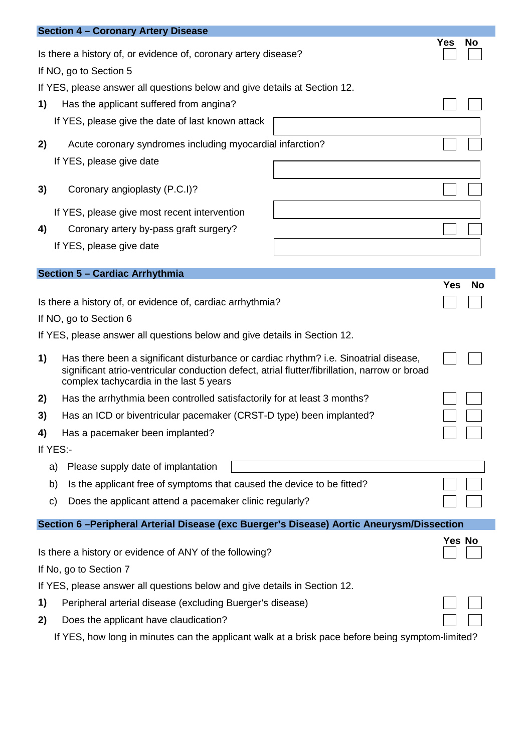| <b>Section 4 - Coronary Artery Disease</b><br>Yes                                         |                                                                                                                                                                                                                                  |            |           |
|-------------------------------------------------------------------------------------------|----------------------------------------------------------------------------------------------------------------------------------------------------------------------------------------------------------------------------------|------------|-----------|
| Is there a history of, or evidence of, coronary artery disease?<br>If NO, go to Section 5 |                                                                                                                                                                                                                                  |            | No        |
|                                                                                           | If YES, please answer all questions below and give details at Section 12.                                                                                                                                                        |            |           |
| 1)                                                                                        | Has the applicant suffered from angina?                                                                                                                                                                                          |            |           |
|                                                                                           | If YES, please give the date of last known attack                                                                                                                                                                                |            |           |
|                                                                                           |                                                                                                                                                                                                                                  |            |           |
| 2)                                                                                        | Acute coronary syndromes including myocardial infarction?                                                                                                                                                                        |            |           |
|                                                                                           | If YES, please give date                                                                                                                                                                                                         |            |           |
| 3)                                                                                        | Coronary angioplasty (P.C.I)?                                                                                                                                                                                                    |            |           |
|                                                                                           | If YES, please give most recent intervention                                                                                                                                                                                     |            |           |
| 4)                                                                                        | Coronary artery by-pass graft surgery?                                                                                                                                                                                           |            |           |
|                                                                                           | If YES, please give date                                                                                                                                                                                                         |            |           |
|                                                                                           |                                                                                                                                                                                                                                  |            |           |
|                                                                                           | Section 5 - Cardiac Arrhythmia                                                                                                                                                                                                   | <b>Yes</b> | <b>No</b> |
|                                                                                           | Is there a history of, or evidence of, cardiac arrhythmia?                                                                                                                                                                       |            |           |
|                                                                                           | If NO, go to Section 6                                                                                                                                                                                                           |            |           |
|                                                                                           | If YES, please answer all questions below and give details in Section 12.                                                                                                                                                        |            |           |
| 1)                                                                                        | Has there been a significant disturbance or cardiac rhythm? i.e. Sinoatrial disease,<br>significant atrio-ventricular conduction defect, atrial flutter/fibrillation, narrow or broad<br>complex tachycardia in the last 5 years |            |           |
| 2)                                                                                        | Has the arrhythmia been controlled satisfactorily for at least 3 months?                                                                                                                                                         |            |           |
| 3)                                                                                        | Has an ICD or biventricular pacemaker (CRST-D type) been implanted?                                                                                                                                                              |            |           |
| 4)                                                                                        | Has a pacemaker been implanted?                                                                                                                                                                                                  |            |           |
|                                                                                           | If YES:-                                                                                                                                                                                                                         |            |           |
| a)                                                                                        | Please supply date of implantation                                                                                                                                                                                               |            |           |
| b)                                                                                        | Is the applicant free of symptoms that caused the device to be fitted?                                                                                                                                                           |            |           |
| C)                                                                                        | Does the applicant attend a pacemaker clinic regularly?                                                                                                                                                                          |            |           |
| Section 6-Peripheral Arterial Disease (exc Buerger's Disease) Aortic Aneurysm/Dissection  |                                                                                                                                                                                                                                  |            |           |
|                                                                                           |                                                                                                                                                                                                                                  | Yes No     |           |
|                                                                                           | Is there a history or evidence of ANY of the following?                                                                                                                                                                          |            |           |
| If No, go to Section 7                                                                    |                                                                                                                                                                                                                                  |            |           |
|                                                                                           | If YES, please answer all questions below and give details in Section 12.                                                                                                                                                        |            |           |
| 1)                                                                                        | Peripheral arterial disease (excluding Buerger's disease)                                                                                                                                                                        |            |           |
| 2)                                                                                        | Does the applicant have claudication?                                                                                                                                                                                            |            |           |

If YES, how long in minutes can the applicant walk at a brisk pace before being symptom-limited?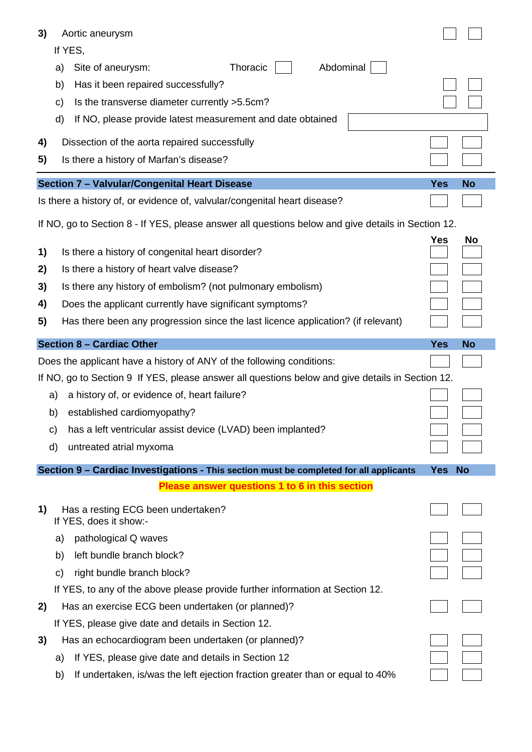| 3) | Aortic aneurysm                                                                                    |                         |
|----|----------------------------------------------------------------------------------------------------|-------------------------|
|    | If YES,                                                                                            |                         |
|    | Thoracic<br>Abdominal<br>Site of aneurysm:<br>a)                                                   |                         |
|    | Has it been repaired successfully?<br>b)                                                           |                         |
|    | Is the transverse diameter currently >5.5cm?<br>C)                                                 |                         |
|    | If NO, please provide latest measurement and date obtained<br>d)                                   |                         |
| 4) | Dissection of the aorta repaired successfully                                                      |                         |
| 5) | Is there a history of Marfan's disease?                                                            |                         |
|    | Section 7 - Valvular/Congenital Heart Disease                                                      | <b>Yes</b><br><b>No</b> |
|    | Is there a history of, or evidence of, valvular/congenital heart disease?                          |                         |
|    |                                                                                                    |                         |
|    | If NO, go to Section 8 - If YES, please answer all questions below and give details in Section 12. |                         |
| 1) | Is there a history of congenital heart disorder?                                                   | Yes<br>No               |
| 2) | Is there a history of heart valve disease?                                                         |                         |
| 3) | Is there any history of embolism? (not pulmonary embolism)                                         |                         |
| 4) | Does the applicant currently have significant symptoms?                                            |                         |
| 5) | Has there been any progression since the last licence application? (if relevant)                   |                         |
|    | <b>Section 8 - Cardiac Other</b>                                                                   | <b>Yes</b><br><b>No</b> |
|    | Does the applicant have a history of ANY of the following conditions:                              |                         |
|    | If NO, go to Section 9 If YES, please answer all questions below and give details in Section 12.   |                         |
|    | a history of, or evidence of, heart failure?<br>a)                                                 |                         |
|    | established cardiomyopathy?<br>b)                                                                  |                         |
|    | has a left ventricular assist device (LVAD) been implanted?<br>C)                                  |                         |
|    | d)<br>untreated atrial myxoma                                                                      |                         |
|    |                                                                                                    |                         |
|    | Section 9 – Cardiac Investigations - This section must be completed for all applicants             | <b>Yes</b><br><b>No</b> |
|    | Please answer questions 1 to 6 in this section                                                     |                         |
| 1) | Has a resting ECG been undertaken?<br>If YES, does it show:-                                       |                         |
|    | pathological Q waves<br>a)                                                                         |                         |
|    | left bundle branch block?<br>b)                                                                    |                         |
|    | right bundle branch block?<br>C)                                                                   |                         |
|    | If YES, to any of the above please provide further information at Section 12.                      |                         |
| 2) | Has an exercise ECG been undertaken (or planned)?                                                  |                         |
|    | If YES, please give date and details in Section 12.                                                |                         |
| 3) | Has an echocardiogram been undertaken (or planned)?                                                |                         |
|    | If YES, please give date and details in Section 12<br>a)                                           |                         |
|    | If undertaken, is/was the left ejection fraction greater than or equal to 40%<br>b)                |                         |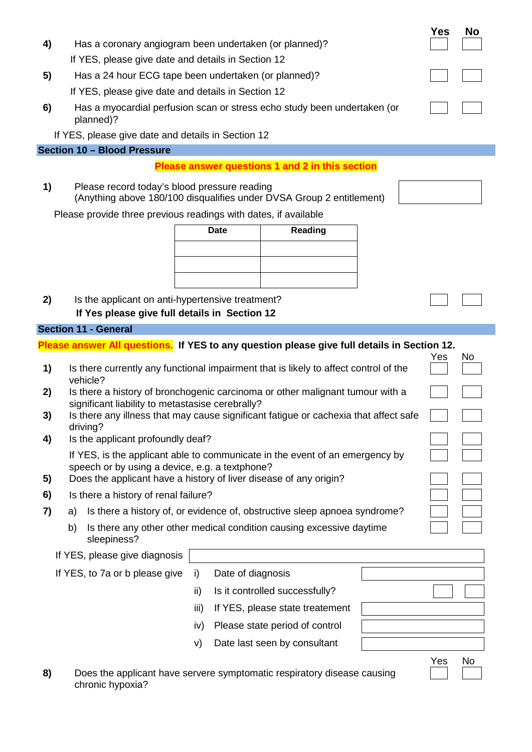| 4) | Has a coronary angiogram been undertaken (or planned)?                                                                            | <b>Yes</b> | No  |
|----|-----------------------------------------------------------------------------------------------------------------------------------|------------|-----|
|    | If YES, please give date and details in Section 12                                                                                |            |     |
| 5) | Has a 24 hour ECG tape been undertaken (or planned)?                                                                              |            |     |
|    | If YES, please give date and details in Section 12                                                                                |            |     |
| 6) | Has a myocardial perfusion scan or stress echo study been undertaken (or<br>planned)?                                             |            |     |
|    | If YES, please give date and details in Section 12                                                                                |            |     |
|    | <b>Section 10 - Blood Pressure</b>                                                                                                |            |     |
|    | Please answer questions 1 and 2 in this section                                                                                   |            |     |
| 1) | Please record today's blood pressure reading<br>(Anything above 180/100 disqualifies under DVSA Group 2 entitlement)              |            |     |
|    | Please provide three previous readings with dates, if available                                                                   |            |     |
|    | <b>Date</b><br><b>Reading</b>                                                                                                     |            |     |
|    |                                                                                                                                   |            |     |
|    |                                                                                                                                   |            |     |
|    |                                                                                                                                   |            |     |
| 2) | Is the applicant on anti-hypertensive treatment?                                                                                  |            |     |
|    | If Yes please give full details in Section 12                                                                                     |            |     |
|    | <b>Section 11 - General</b>                                                                                                       |            |     |
|    | Please answer All questions. If YES to any question please give full details in Section 12.                                       | Yes        | No  |
| 1) | Is there currently any functional impairment that is likely to affect control of the<br>vehicle?                                  |            |     |
| 2) | Is there a history of bronchogenic carcinoma or other malignant tumour with a<br>significant liability to metastasise cerebrally? |            |     |
| 3) | Is there any illness that may cause significant fatigue or cachexia that affect safe<br>driving?                                  |            |     |
| 4) | Is the applicant profoundly deaf?                                                                                                 |            |     |
|    | If YES, is the applicant able to communicate in the event of an emergency by<br>speech or by using a device, e.g. a textphone?    |            |     |
| 5) | Does the applicant have a history of liver disease of any origin?                                                                 |            |     |
| 6) | Is there a history of renal failure?                                                                                              |            |     |
| 7) | Is there a history of, or evidence of, obstructive sleep apnoea syndrome?<br>a)                                                   |            |     |
|    | Is there any other other medical condition causing excessive daytime<br>b)<br>sleepiness?                                         |            |     |
|    | If YES, please give diagnosis                                                                                                     |            |     |
|    | If YES, to 7a or b please give<br>Date of diagnosis<br>i)                                                                         |            |     |
|    | Is it controlled successfully?<br>ii)                                                                                             |            |     |
|    | If YES, please state treatement<br>iii)                                                                                           |            |     |
|    | Please state period of control<br>iv)                                                                                             |            |     |
|    | Date last seen by consultant<br>V)                                                                                                |            |     |
| 8) | Does the applicant have servere symptomatic respiratory disease causing                                                           | Yes        | No. |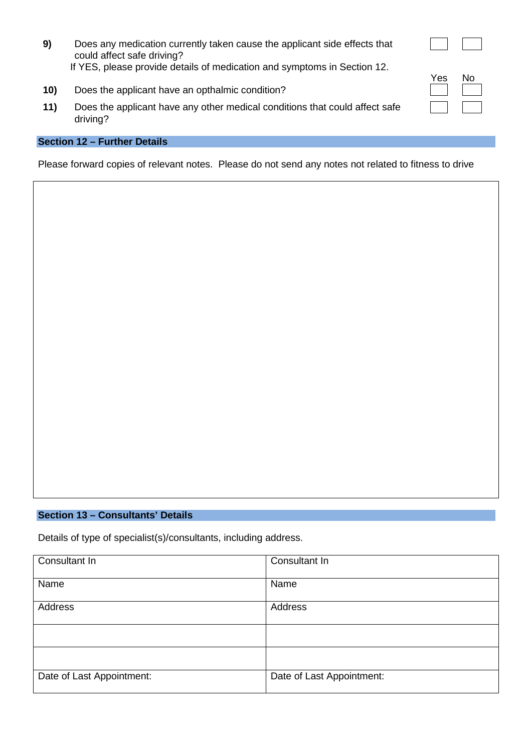| 9)  | Does any medication currently taken cause the applicant side effects that<br>could affect safe driving?<br>If YES, please provide details of medication and symptoms in Section 12. |     |     |
|-----|-------------------------------------------------------------------------------------------------------------------------------------------------------------------------------------|-----|-----|
| 10) | Does the applicant have an opthalmic condition?                                                                                                                                     | Yes | No. |

**11)** Does the applicant have any other medical conditions that could affect safe driving?

#### **Section 12 – Further Details**

Please forward copies of relevant notes. Please do not send any notes not related to fitness to drive

#### **Section 13 – Consultants' Details**

Details of type of specialist(s)/consultants, including address.

| Consultant In             | Consultant In             |
|---------------------------|---------------------------|
| Name                      | Name                      |
| Address                   | Address                   |
|                           |                           |
|                           |                           |
| Date of Last Appointment: | Date of Last Appointment: |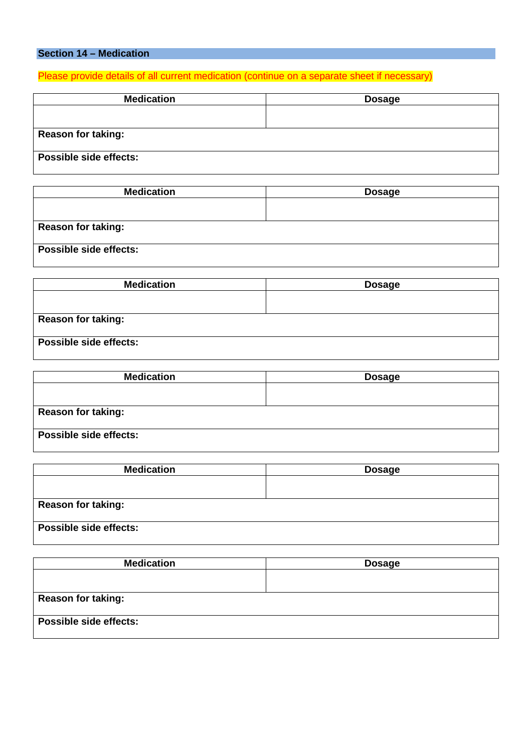### **Section 14 – Medication**

# Please provide details of all current medication (continue on a separate sheet if necessary)

| <b>Medication</b>         | <b>Dosage</b> |
|---------------------------|---------------|
|                           |               |
|                           |               |
| <b>Reason for taking:</b> |               |
| Possible side effects:    |               |

| <b>Medication</b>         | <b>Dosage</b> |
|---------------------------|---------------|
|                           |               |
|                           |               |
| <b>Reason for taking:</b> |               |
| Possible side effects:    |               |
|                           |               |

| <b>Medication</b>         | <b>Dosage</b> |
|---------------------------|---------------|
|                           |               |
|                           |               |
| <b>Reason for taking:</b> |               |
| Possible side effects:    |               |

| <b>Medication</b>         | <b>Dosage</b> |
|---------------------------|---------------|
|                           |               |
|                           |               |
| <b>Reason for taking:</b> |               |
|                           |               |
| Possible side effects:    |               |
|                           |               |

| <b>Medication</b>         | <b>Dosage</b> |
|---------------------------|---------------|
|                           |               |
|                           |               |
| <b>Reason for taking:</b> |               |
|                           |               |
| Possible side effects:    |               |
|                           |               |

| <b>Medication</b>             | <b>Dosage</b> |
|-------------------------------|---------------|
|                               |               |
|                               |               |
| <b>Reason for taking:</b>     |               |
| <b>Possible side effects:</b> |               |
|                               |               |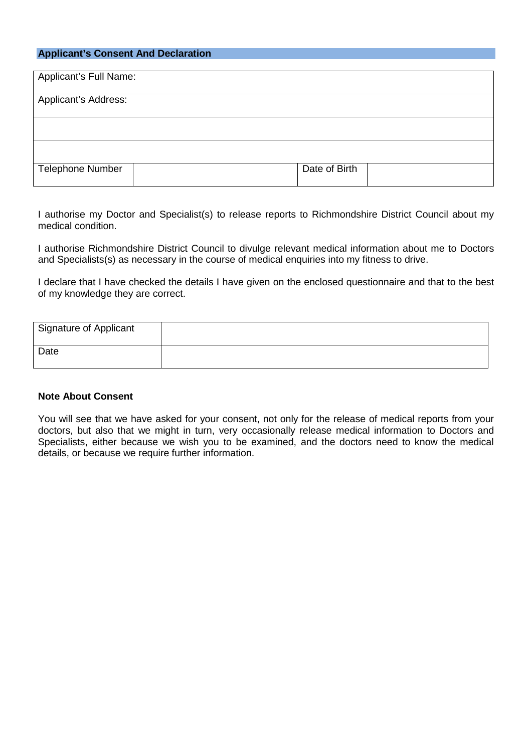#### **Applicant's Consent And Declaration**

| Applicant's Full Name:      |               |
|-----------------------------|---------------|
| <b>Applicant's Address:</b> |               |
|                             |               |
|                             |               |
| <b>Telephone Number</b>     | Date of Birth |

I authorise my Doctor and Specialist(s) to release reports to Richmondshire District Council about my medical condition.

I authorise Richmondshire District Council to divulge relevant medical information about me to Doctors and Specialists(s) as necessary in the course of medical enquiries into my fitness to drive.

I declare that I have checked the details I have given on the enclosed questionnaire and that to the best of my knowledge they are correct.

| <b>Signature of Applicant</b> |  |
|-------------------------------|--|
| Date                          |  |

#### **Note About Consent**

You will see that we have asked for your consent, not only for the release of medical reports from your doctors, but also that we might in turn, very occasionally release medical information to Doctors and Specialists, either because we wish you to be examined, and the doctors need to know the medical details, or because we require further information.